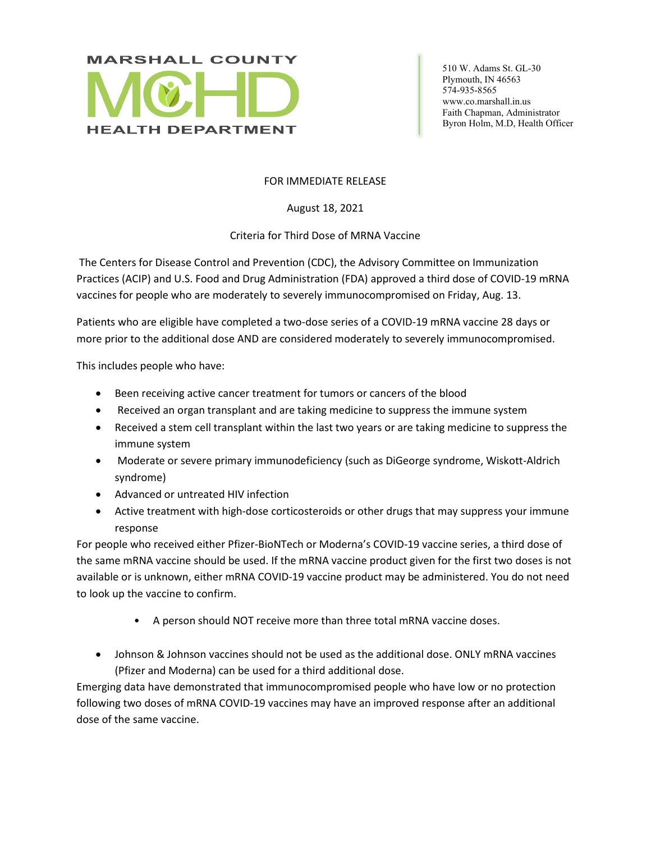

 510 W. Adams St. GL-30 Plymouth, IN 46563 574-935-8565 www.co.marshall.in.us Faith Chapman, Administrator Byron Holm, M.D, Health Officer

## FOR IMMEDIATE RELEASE

August 18, 2021

## Criteria for Third Dose of MRNA Vaccine

The Centers for Disease Control and Prevention (CDC), the Advisory Committee on Immunization Practices (ACIP) and U.S. Food and Drug Administration (FDA) approved a third dose of COVID-19 mRNA vaccines for people who are moderately to severely immunocompromised on Friday, Aug. 13.

Patients who are eligible have completed a two-dose series of a COVID-19 mRNA vaccine 28 days or more prior to the additional dose AND are considered moderately to severely immunocompromised.

This includes people who have:

- Been receiving active cancer treatment for tumors or cancers of the blood
- Received an organ transplant and are taking medicine to suppress the immune system
- Received a stem cell transplant within the last two years or are taking medicine to suppress the immune system
- Moderate or severe primary immunodeficiency (such as DiGeorge syndrome, Wiskott-Aldrich syndrome)
- Advanced or untreated HIV infection
- Active treatment with high-dose corticosteroids or other drugs that may suppress your immune response

For people who received either Pfizer-BioNTech or Moderna's COVID-19 vaccine series, a third dose of the same mRNA vaccine should be used. If the mRNA vaccine product given for the first two doses is not available or is unknown, either mRNA COVID-19 vaccine product may be administered. You do not need to look up the vaccine to confirm.

- A person should NOT receive more than three total mRNA vaccine doses.
- Johnson & Johnson vaccines should not be used as the additional dose. ONLY mRNA vaccines (Pfizer and Moderna) can be used for a third additional dose.

Emerging data have demonstrated that immunocompromised people who have low or no protection following two doses of mRNA COVID-19 vaccines may have an improved response after an additional dose of the same vaccine.